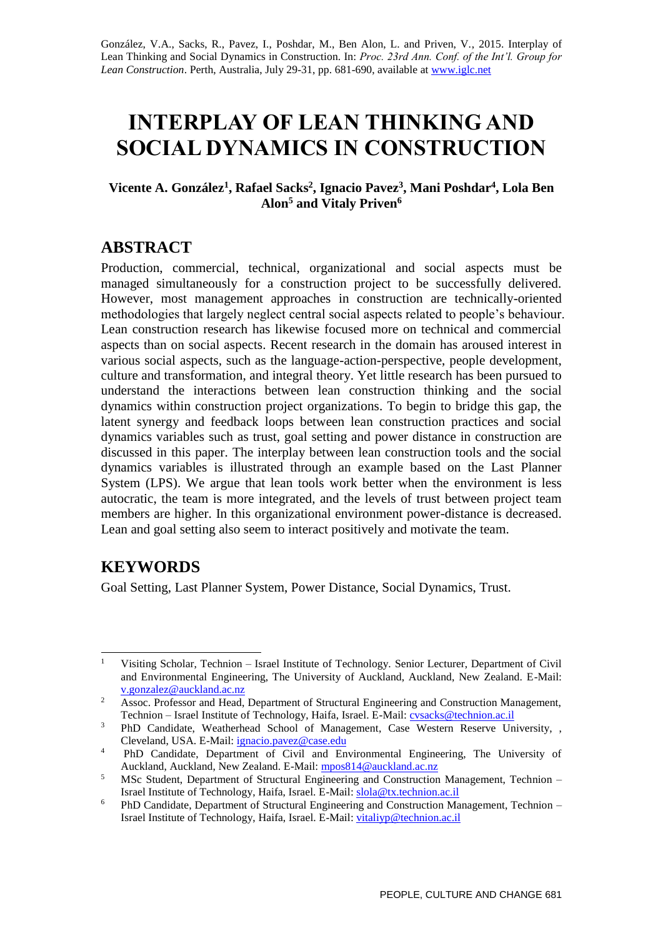González, V.A., Sacks, R., Pavez, I., Poshdar, M., Ben Alon, L. and Priven, V., 2015. Interplay of Lean Thinking and Social Dynamics in Construction. In: *Proc. 23rd Ann. Conf. of the Int'l. Group for Lean Construction*. Perth, Australia, July 29-31, pp. 681-690, available at [www.iglc.net](http://www.iglc.net/)

# **INTERPLAY OF LEAN THINKING AND SOCIAL DYNAMICS IN CONSTRUCTION**

#### **Vicente A. González<sup>1</sup> , Rafael Sacks<sup>2</sup> , Ignacio Pavez<sup>3</sup> , Mani Poshdar<sup>4</sup> , Lola Ben Alon<sup>5</sup> and Vitaly Priven<sup>6</sup>**

## **ABSTRACT**

Production, commercial, technical, organizational and social aspects must be managed simultaneously for a construction project to be successfully delivered. However, most management approaches in construction are technically-oriented methodologies that largely neglect central social aspects related to people's behaviour. Lean construction research has likewise focused more on technical and commercial aspects than on social aspects. Recent research in the domain has aroused interest in various social aspects, such as the language-action-perspective, people development, culture and transformation, and integral theory. Yet little research has been pursued to understand the interactions between lean construction thinking and the social dynamics within construction project organizations. To begin to bridge this gap, the latent synergy and feedback loops between lean construction practices and social dynamics variables such as trust, goal setting and power distance in construction are discussed in this paper. The interplay between lean construction tools and the social dynamics variables is illustrated through an example based on the Last Planner System (LPS). We argue that lean tools work better when the environment is less autocratic, the team is more integrated, and the levels of trust between project team members are higher. In this organizational environment power-distance is decreased. Lean and goal setting also seem to interact positively and motivate the team.

# **KEYWORDS**

1

Goal Setting, Last Planner System, Power Distance, Social Dynamics, Trust.

<sup>&</sup>lt;sup>1</sup> Visiting Scholar, Technion – Israel Institute of Technology. Senior Lecturer, Department of Civil and Environmental Engineering, The University of Auckland, Auckland, New Zealand. E-Mail: [v.gonzalez@auckland.ac.nz](mailto:v.gonzalez@auckland.ac.nz) 

<sup>&</sup>lt;sup>2</sup> Assoc. Professor and Head, Department of Structural Engineering and Construction Management, Technion – Israel Institute of Technology, Haifa, Israel. E-Mail: [cvsacks@technion.ac.il](mailto:cvsacks@technion.ac.il) 

<sup>&</sup>lt;sup>3</sup> PhD Candidate, Weatherhead School of Management, Case Western Reserve University, , Cleveland, USA. E-Mail[: ignacio.pavez@case.edu](mailto:ignacio.pavez@case.edu)

<sup>&</sup>lt;sup>4</sup> PhD Candidate, Department of Civil and Environmental Engineering, The University of Auckland, Auckland, New Zealand. E-Mail: [mpos814@auckland.ac.nz](mailto:mpos814@auckland.ac.nz)

<sup>&</sup>lt;sup>5</sup> MSc Student, Department of Structural Engineering and Construction Management, Technion – Israel Institute of Technology, Haifa, Israel. E-Mail: [slola@tx.technion.ac.il](mailto:slola@tx.technion.ac.il)

<sup>&</sup>lt;sup>6</sup> PhD Candidate, Department of Structural Engineering and Construction Management, Technion – Israel Institute of Technology, Haifa, Israel. E-Mail: [vitaliyp@technion.ac.il](mailto:vitaliyp@technion.ac.il)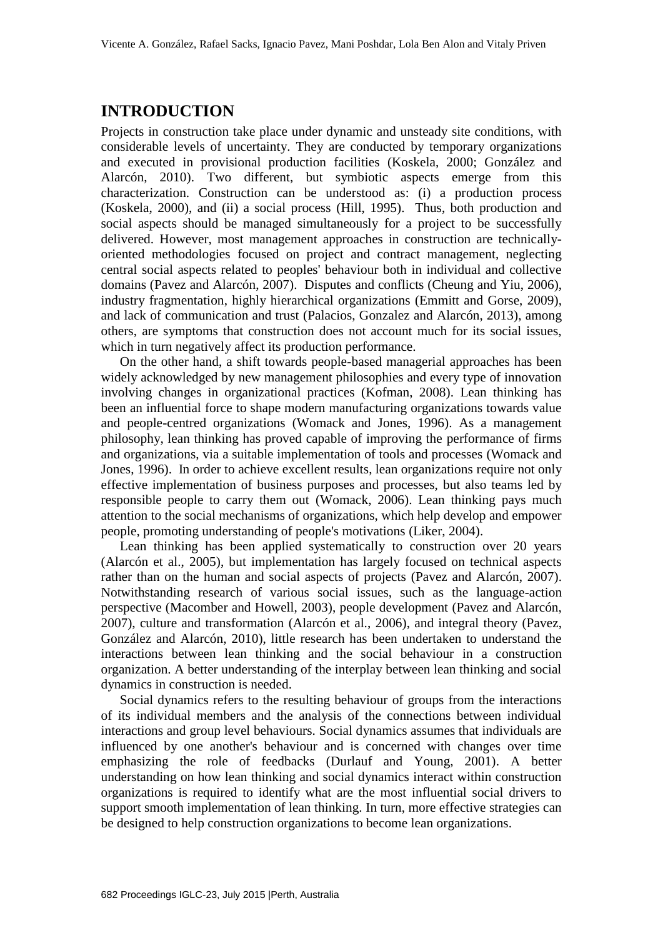# **INTRODUCTION**

Projects in construction take place under dynamic and unsteady site conditions, with considerable levels of uncertainty. They are conducted by temporary organizations and executed in provisional production facilities (Koskela, 2000; González and Alarcón, 2010). Two different, but symbiotic aspects emerge from this characterization. Construction can be understood as: (i) a production process (Koskela, 2000), and (ii) a social process (Hill, 1995). Thus, both production and social aspects should be managed simultaneously for a project to be successfully delivered. However, most management approaches in construction are technicallyoriented methodologies focused on project and contract management, neglecting central social aspects related to peoples' behaviour both in individual and collective domains (Pavez and Alarcón, 2007). Disputes and conflicts (Cheung and Yiu, 2006), industry fragmentation, highly hierarchical organizations (Emmitt and Gorse, 2009), and lack of communication and trust (Palacios, Gonzalez and Alarcón, 2013), among others, are symptoms that construction does not account much for its social issues, which in turn negatively affect its production performance.

On the other hand, a shift towards people-based managerial approaches has been widely acknowledged by new management philosophies and every type of innovation involving changes in organizational practices (Kofman, 2008). Lean thinking has been an influential force to shape modern manufacturing organizations towards value and people-centred organizations (Womack and Jones, 1996). As a management philosophy, lean thinking has proved capable of improving the performance of firms and organizations, via a suitable implementation of tools and processes (Womack and Jones, 1996). In order to achieve excellent results, lean organizations require not only effective implementation of business purposes and processes, but also teams led by responsible people to carry them out (Womack, 2006). Lean thinking pays much attention to the social mechanisms of organizations, which help develop and empower people, promoting understanding of people's motivations (Liker, 2004).

Lean thinking has been applied systematically to construction over 20 years (Alarcón et al., 2005), but implementation has largely focused on technical aspects rather than on the human and social aspects of projects (Pavez and Alarcón, 2007). Notwithstanding research of various social issues, such as the language-action perspective (Macomber and Howell, 2003), people development (Pavez and Alarcón, 2007), culture and transformation (Alarcón et al., 2006), and integral theory (Pavez, González and Alarcón, 2010), little research has been undertaken to understand the interactions between lean thinking and the social behaviour in a construction organization. A better understanding of the interplay between lean thinking and social dynamics in construction is needed.

Social dynamics refers to the resulting behaviour of groups from the interactions of its individual members and the analysis of the connections between individual interactions and group level behaviours. Social dynamics assumes that individuals are influenced by one another's behaviour and is concerned with changes over time emphasizing the role of feedbacks (Durlauf and Young, 2001). A better understanding on how lean thinking and social dynamics interact within construction organizations is required to identify what are the most influential social drivers to support smooth implementation of lean thinking. In turn, more effective strategies can be designed to help construction organizations to become lean organizations.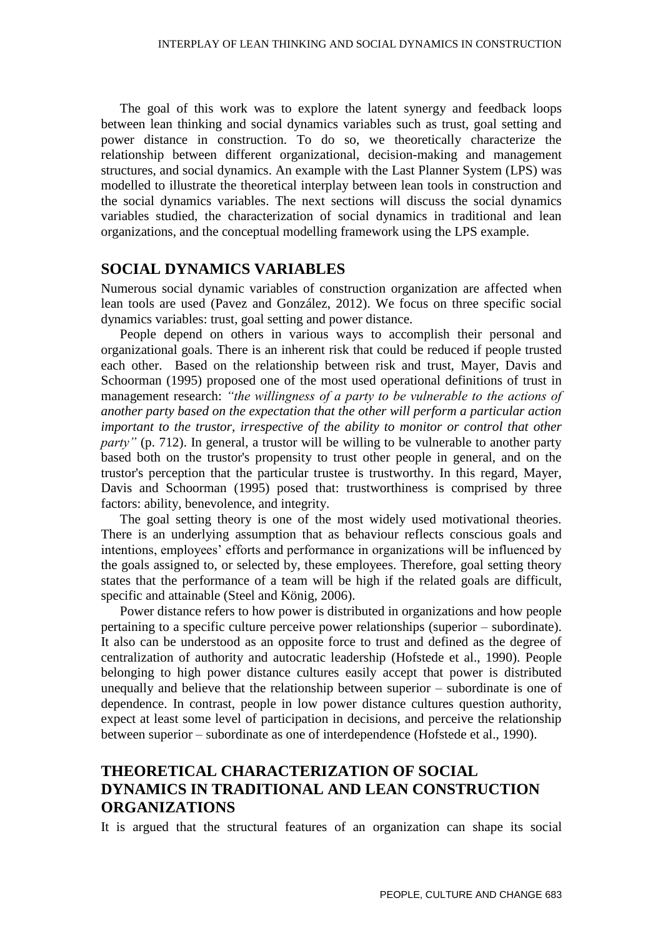The goal of this work was to explore the latent synergy and feedback loops between lean thinking and social dynamics variables such as trust, goal setting and power distance in construction. To do so, we theoretically characterize the relationship between different organizational, decision-making and management structures, and social dynamics. An example with the Last Planner System (LPS) was modelled to illustrate the theoretical interplay between lean tools in construction and the social dynamics variables. The next sections will discuss the social dynamics variables studied, the characterization of social dynamics in traditional and lean organizations, and the conceptual modelling framework using the LPS example.

### **SOCIAL DYNAMICS VARIABLES**

Numerous social dynamic variables of construction organization are affected when lean tools are used (Pavez and González, 2012). We focus on three specific social dynamics variables: trust, goal setting and power distance.

People depend on others in various ways to accomplish their personal and organizational goals. There is an inherent risk that could be reduced if people trusted each other. Based on the relationship between risk and trust, Mayer, Davis and Schoorman (1995) proposed one of the most used operational definitions of trust in management research: *"the willingness of a party to be vulnerable to the actions of another party based on the expectation that the other will perform a particular action important to the trustor, irrespective of the ability to monitor or control that other party*" (p. 712). In general, a trustor will be willing to be vulnerable to another party based both on the trustor's propensity to trust other people in general, and on the trustor's perception that the particular trustee is trustworthy. In this regard, Mayer, Davis and Schoorman (1995) posed that: trustworthiness is comprised by three factors: ability, benevolence, and integrity.

The goal setting theory is one of the most widely used motivational theories. There is an underlying assumption that as behaviour reflects conscious goals and intentions, employees' efforts and performance in organizations will be influenced by the goals assigned to, or selected by, these employees. Therefore, goal setting theory states that the performance of a team will be high if the related goals are difficult, specific and attainable (Steel and König, 2006).

Power distance refers to how power is distributed in organizations and how people pertaining to a specific culture perceive power relationships (superior – subordinate). It also can be understood as an opposite force to trust and defined as the degree of centralization of authority and autocratic leadership (Hofstede et al., 1990). People belonging to high power distance cultures easily accept that power is distributed unequally and believe that the relationship between superior – subordinate is one of dependence. In contrast, people in low power distance cultures question authority, expect at least some level of participation in decisions, and perceive the relationship between superior – subordinate as one of interdependence (Hofstede et al., 1990).

## **THEORETICAL CHARACTERIZATION OF SOCIAL DYNAMICS IN TRADITIONAL AND LEAN CONSTRUCTION ORGANIZATIONS**

It is argued that the structural features of an organization can shape its social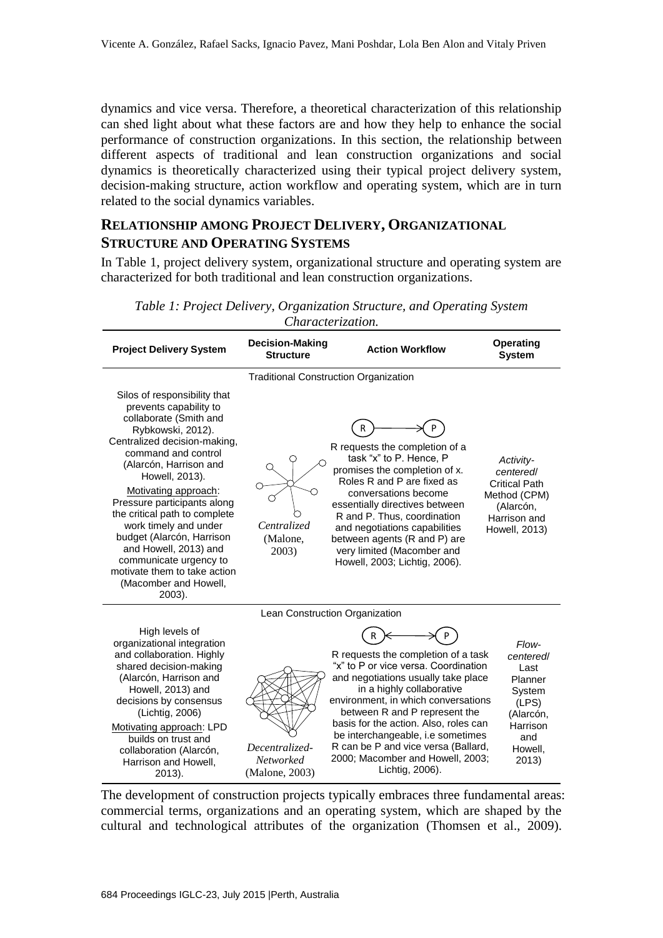dynamics and vice versa. Therefore, a theoretical characterization of this relationship can shed light about what these factors are and how they help to enhance the social performance of construction organizations. In this section, the relationship between different aspects of traditional and lean construction organizations and social dynamics is theoretically characterized using their typical project delivery system, decision-making structure, action workflow and operating system, which are in turn related to the social dynamics variables.

## **RELATIONSHIP AMONG PROJECT DELIVERY, ORGANIZATIONAL STRUCTURE AND OPERATING SYSTEMS**

In Table 1, project delivery system, organizational structure and operating system are characterized for both traditional and lean construction organizations.

| <b>Project Delivery System</b>                                                                                                                                                                                                                                                                                                                                                                                                                                               | <b>Decision-Making</b><br><b>Structure</b>           | <b>Action Workflow</b>                                                                                                                                                                                                                                                                                                                                                                              | <b>Operating</b><br><b>System</b>                                                                            |  |
|------------------------------------------------------------------------------------------------------------------------------------------------------------------------------------------------------------------------------------------------------------------------------------------------------------------------------------------------------------------------------------------------------------------------------------------------------------------------------|------------------------------------------------------|-----------------------------------------------------------------------------------------------------------------------------------------------------------------------------------------------------------------------------------------------------------------------------------------------------------------------------------------------------------------------------------------------------|--------------------------------------------------------------------------------------------------------------|--|
| <b>Traditional Construction Organization</b>                                                                                                                                                                                                                                                                                                                                                                                                                                 |                                                      |                                                                                                                                                                                                                                                                                                                                                                                                     |                                                                                                              |  |
| Silos of responsibility that<br>prevents capability to<br>collaborate (Smith and<br>Rybkowski, 2012).<br>Centralized decision-making,<br>command and control<br>(Alarcón, Harrison and<br>Howell, 2013).<br>Motivating approach:<br>Pressure participants along<br>the critical path to complete<br>work timely and under<br>budget (Alarcón, Harrison<br>and Howell, 2013) and<br>communicate urgency to<br>motivate them to take action<br>(Macomber and Howell,<br>2003). | Centralized<br>(Malone,<br>2003)                     | R requests the completion of a<br>task "x" to P. Hence, P<br>promises the completion of x.<br>Roles R and P are fixed as<br>conversations become<br>essentially directives between<br>R and P. Thus, coordination<br>and negotiations capabilities<br>between agents (R and P) are<br>very limited (Macomber and<br>Howell, 2003; Lichtig, 2006).                                                   | Activity-<br>centered/<br><b>Critical Path</b><br>Method (CPM)<br>(Alarcón,<br>Harrison and<br>Howell, 2013) |  |
| Lean Construction Organization                                                                                                                                                                                                                                                                                                                                                                                                                                               |                                                      |                                                                                                                                                                                                                                                                                                                                                                                                     |                                                                                                              |  |
| High levels of<br>organizational integration<br>and collaboration. Highly<br>shared decision-making<br>(Alarcón, Harrison and<br>Howell, 2013) and<br>decisions by consensus<br>(Lichtig, 2006)<br>Motivating approach: LPD<br>builds on trust and<br>collaboration (Alarcón,<br>Harrison and Howell,<br>2013).                                                                                                                                                              | Decentralized-<br><b>Networked</b><br>(Malone, 2003) | R requests the completion of a task<br>"x" to P or vice versa. Coordination<br>and negotiations usually take place<br>in a highly collaborative<br>environment, in which conversations<br>between R and P represent the<br>basis for the action. Also, roles can<br>be interchangeable, i.e sometimes<br>R can be P and vice versa (Ballard,<br>2000; Macomber and Howell, 2003;<br>Lichtig, 2006). | Flow-<br>centered/<br>Last<br>Planner<br>System<br>(LPS)<br>(Alarcón,<br>Harrison<br>and<br>Howell,<br>2013) |  |

*Table 1: Project Delivery, Organization Structure, and Operating System Characterization.*

The development of construction projects typically embraces three fundamental areas: commercial terms, organizations and an operating system, which are shaped by the cultural and technological attributes of the organization (Thomsen et al., 2009).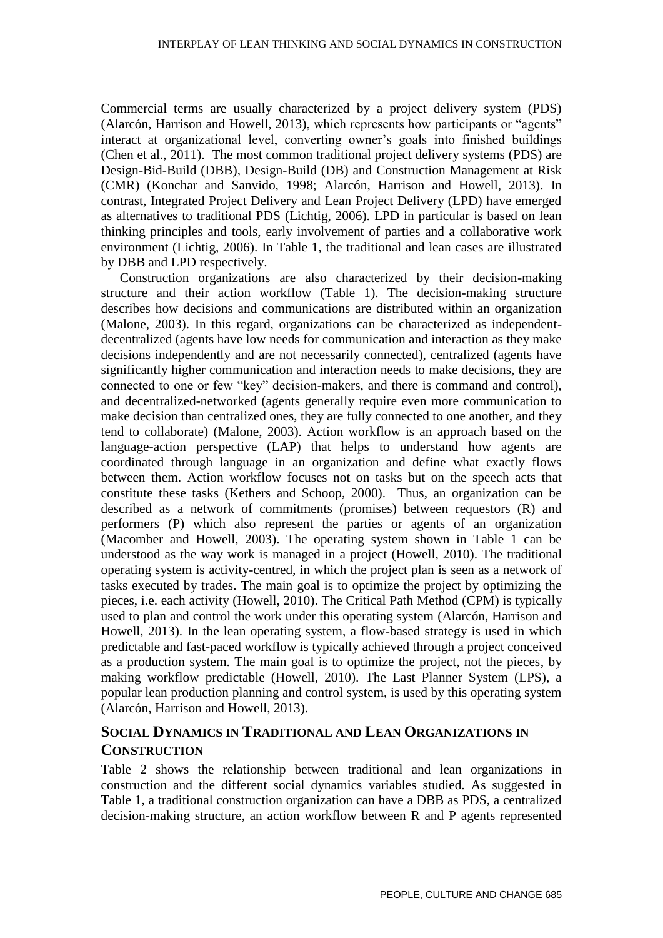Commercial terms are usually characterized by a project delivery system (PDS) (Alarcón, Harrison and Howell, 2013), which represents how participants or "agents" interact at organizational level, converting owner's goals into finished buildings (Chen et al., 2011). The most common traditional project delivery systems (PDS) are Design-Bid-Build (DBB), Design-Build (DB) and Construction Management at Risk (CMR) (Konchar and Sanvido, 1998; Alarcón, Harrison and Howell, 2013). In contrast, Integrated Project Delivery and Lean Project Delivery (LPD) have emerged as alternatives to traditional PDS (Lichtig, 2006). LPD in particular is based on lean thinking principles and tools, early involvement of parties and a collaborative work environment (Lichtig, 2006). In Table 1, the traditional and lean cases are illustrated by DBB and LPD respectively.

Construction organizations are also characterized by their decision-making structure and their action workflow (Table 1). The decision-making structure describes how decisions and communications are distributed within an organization (Malone, 2003). In this regard, organizations can be characterized as independentdecentralized (agents have low needs for communication and interaction as they make decisions independently and are not necessarily connected), centralized (agents have significantly higher communication and interaction needs to make decisions, they are connected to one or few "key" decision-makers, and there is command and control), and decentralized-networked (agents generally require even more communication to make decision than centralized ones, they are fully connected to one another, and they tend to collaborate) (Malone, 2003). Action workflow is an approach based on the language-action perspective (LAP) that helps to understand how agents are coordinated through language in an organization and define what exactly flows between them. Action workflow focuses not on tasks but on the speech acts that constitute these tasks (Kethers and Schoop, 2000). Thus, an organization can be described as a network of commitments (promises) between requestors (R) and performers (P) which also represent the parties or agents of an organization (Macomber and Howell, 2003). The operating system shown in Table 1 can be understood as the way work is managed in a project (Howell, 2010). The traditional operating system is activity-centred, in which the project plan is seen as a network of tasks executed by trades. The main goal is to optimize the project by optimizing the pieces, i.e. each activity (Howell, 2010). The Critical Path Method (CPM) is typically used to plan and control the work under this operating system (Alarcón, Harrison and Howell, 2013). In the lean operating system, a flow-based strategy is used in which predictable and fast-paced workflow is typically achieved through a project conceived as a production system. The main goal is to optimize the project, not the pieces, by making workflow predictable (Howell, 2010). The Last Planner System (LPS), a popular lean production planning and control system, is used by this operating system (Alarcón, Harrison and Howell, 2013).

## **SOCIAL DYNAMICS IN TRADITIONAL AND LEAN ORGANIZATIONS IN CONSTRUCTION**

Table 2 shows the relationship between traditional and lean organizations in construction and the different social dynamics variables studied. As suggested in Table 1, a traditional construction organization can have a DBB as PDS, a centralized decision-making structure, an action workflow between R and P agents represented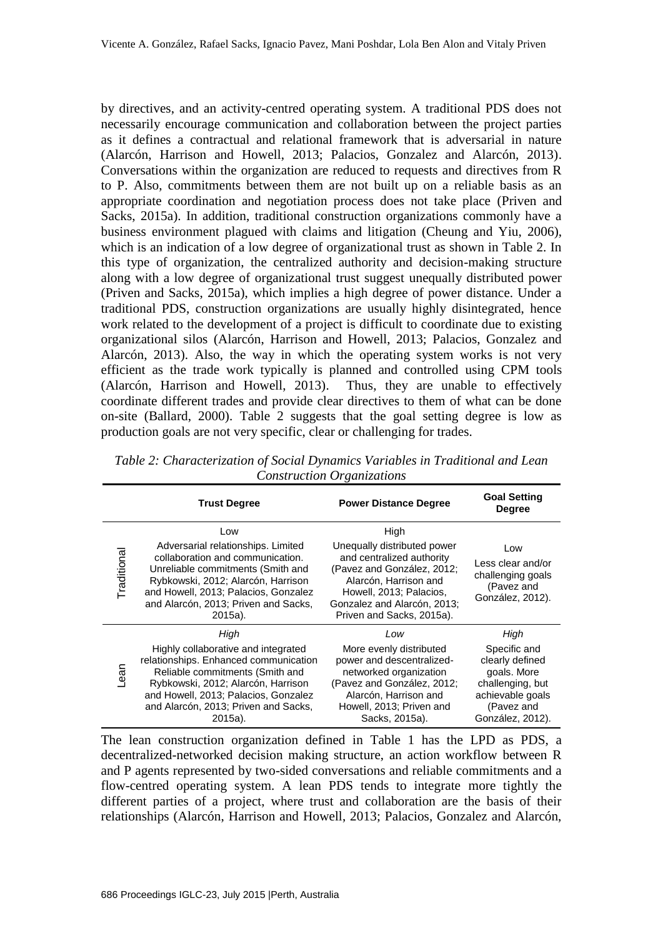by directives, and an activity-centred operating system. A traditional PDS does not necessarily encourage communication and collaboration between the project parties as it defines a contractual and relational framework that is adversarial in nature (Alarcón, Harrison and Howell, 2013; Palacios, Gonzalez and Alarcón, 2013). Conversations within the organization are reduced to requests and directives from R to P. Also, commitments between them are not built up on a reliable basis as an appropriate coordination and negotiation process does not take place (Priven and Sacks, 2015a). In addition, traditional construction organizations commonly have a business environment plagued with claims and litigation (Cheung and Yiu, 2006), which is an indication of a low degree of organizational trust as shown in Table 2. In this type of organization, the centralized authority and decision-making structure along with a low degree of organizational trust suggest unequally distributed power (Priven and Sacks, 2015a), which implies a high degree of power distance. Under a traditional PDS, construction organizations are usually highly disintegrated, hence work related to the development of a project is difficult to coordinate due to existing organizational silos (Alarcón, Harrison and Howell, 2013; Palacios, Gonzalez and Alarcón, 2013). Also, the way in which the operating system works is not very efficient as the trade work typically is planned and controlled using CPM tools (Alarcón, Harrison and Howell, 2013). Thus, they are unable to effectively coordinate different trades and provide clear directives to them of what can be done on-site (Ballard, 2000). Table 2 suggests that the goal setting degree is low as production goals are not very specific, clear or challenging for trades.

|             | <b>Trust Degree</b>                                                                                                                                                                                                                                      | <b>Power Distance Degree</b>                                                                                                                                                                                   | <b>Goal Setting</b><br><b>Degree</b>                                                                                             |
|-------------|----------------------------------------------------------------------------------------------------------------------------------------------------------------------------------------------------------------------------------------------------------|----------------------------------------------------------------------------------------------------------------------------------------------------------------------------------------------------------------|----------------------------------------------------------------------------------------------------------------------------------|
| Traditional | Low<br>Adversarial relationships. Limited<br>collaboration and communication.<br>Unreliable commitments (Smith and<br>Rybkowski, 2012; Alarcón, Harrison<br>and Howell, 2013; Palacios, Gonzalez<br>and Alarcón, 2013; Priven and Sacks,<br>2015a).      | High<br>Unequally distributed power<br>and centralized authority<br>(Pavez and González, 2012;<br>Alarcón, Harrison and<br>Howell, 2013; Palacios,<br>Gonzalez and Alarcón, 2013;<br>Priven and Sacks, 2015a). | Low<br>Less clear and/or<br>challenging goals<br>(Pavez and<br>González, 2012).                                                  |
| -ean        | High<br>Highly collaborative and integrated<br>relationships. Enhanced communication<br>Reliable commitments (Smith and<br>Rybkowski, 2012; Alarcón, Harrison<br>and Howell, 2013; Palacios, Gonzalez<br>and Alarcón, 2013; Priven and Sacks,<br>2015a). | Low<br>More evenly distributed<br>power and descentralized-<br>networked organization<br>(Pavez and González, 2012;<br>Alarcón, Harrison and<br>Howell, 2013; Priven and<br>Sacks, 2015a).                     | High<br>Specific and<br>clearly defined<br>goals. More<br>challenging, but<br>achievable goals<br>(Pavez and<br>González, 2012). |

*Table 2: Characterization of Social Dynamics Variables in Traditional and Lean Construction Organizations*

The lean construction organization defined in Table 1 has the LPD as PDS, a decentralized-networked decision making structure, an action workflow between R and P agents represented by two-sided conversations and reliable commitments and a flow-centred operating system. A lean PDS tends to integrate more tightly the different parties of a project, where trust and collaboration are the basis of their relationships (Alarcón, Harrison and Howell, 2013; Palacios, Gonzalez and Alarcón,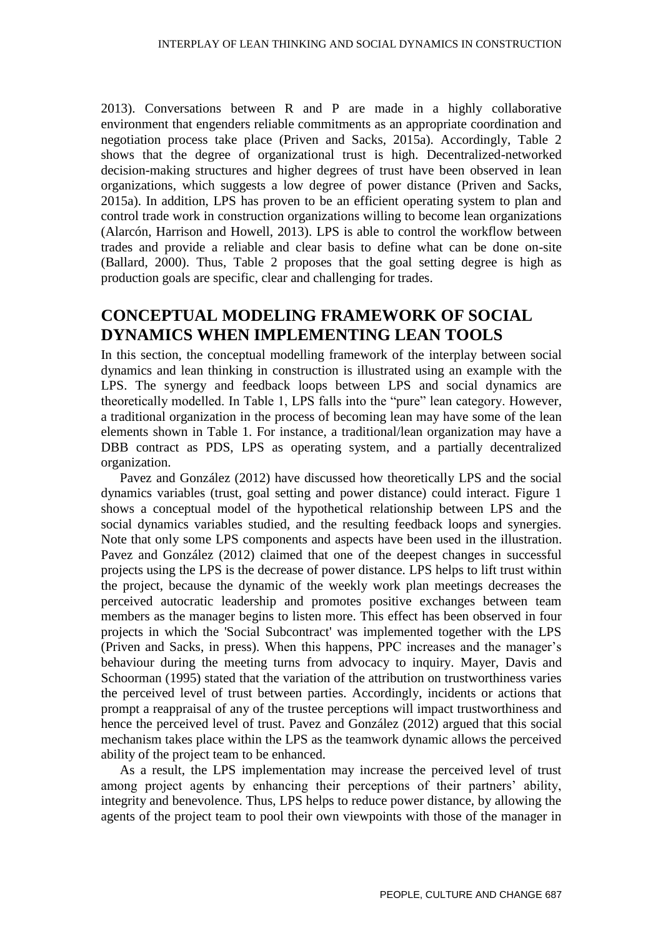2013). Conversations between R and P are made in a highly collaborative environment that engenders reliable commitments as an appropriate coordination and negotiation process take place (Priven and Sacks, 2015a). Accordingly, Table 2 shows that the degree of organizational trust is high. Decentralized-networked decision-making structures and higher degrees of trust have been observed in lean organizations, which suggests a low degree of power distance (Priven and Sacks, 2015a). In addition, LPS has proven to be an efficient operating system to plan and control trade work in construction organizations willing to become lean organizations (Alarcón, Harrison and Howell, 2013). LPS is able to control the workflow between trades and provide a reliable and clear basis to define what can be done on-site (Ballard, 2000). Thus, Table 2 proposes that the goal setting degree is high as production goals are specific, clear and challenging for trades.

## **CONCEPTUAL MODELING FRAMEWORK OF SOCIAL DYNAMICS WHEN IMPLEMENTING LEAN TOOLS**

In this section, the conceptual modelling framework of the interplay between social dynamics and lean thinking in construction is illustrated using an example with the LPS. The synergy and feedback loops between LPS and social dynamics are theoretically modelled. In Table 1, LPS falls into the "pure" lean category. However, a traditional organization in the process of becoming lean may have some of the lean elements shown in Table 1. For instance, a traditional/lean organization may have a DBB contract as PDS, LPS as operating system, and a partially decentralized organization.

Pavez and González (2012) have discussed how theoretically LPS and the social dynamics variables (trust, goal setting and power distance) could interact. Figure 1 shows a conceptual model of the hypothetical relationship between LPS and the social dynamics variables studied, and the resulting feedback loops and synergies. Note that only some LPS components and aspects have been used in the illustration. Pavez and González (2012) claimed that one of the deepest changes in successful projects using the LPS is the decrease of power distance. LPS helps to lift trust within the project, because the dynamic of the weekly work plan meetings decreases the perceived autocratic leadership and promotes positive exchanges between team members as the manager begins to listen more. This effect has been observed in four projects in which the 'Social Subcontract' was implemented together with the LPS (Priven and Sacks, in press). When this happens, PPC increases and the manager's behaviour during the meeting turns from advocacy to inquiry. Mayer, Davis and Schoorman (1995) stated that the variation of the attribution on trustworthiness varies the perceived level of trust between parties. Accordingly, incidents or actions that prompt a reappraisal of any of the trustee perceptions will impact trustworthiness and hence the perceived level of trust. Pavez and González (2012) argued that this social mechanism takes place within the LPS as the teamwork dynamic allows the perceived ability of the project team to be enhanced.

As a result, the LPS implementation may increase the perceived level of trust among project agents by enhancing their perceptions of their partners' ability, integrity and benevolence. Thus, LPS helps to reduce power distance, by allowing the agents of the project team to pool their own viewpoints with those of the manager in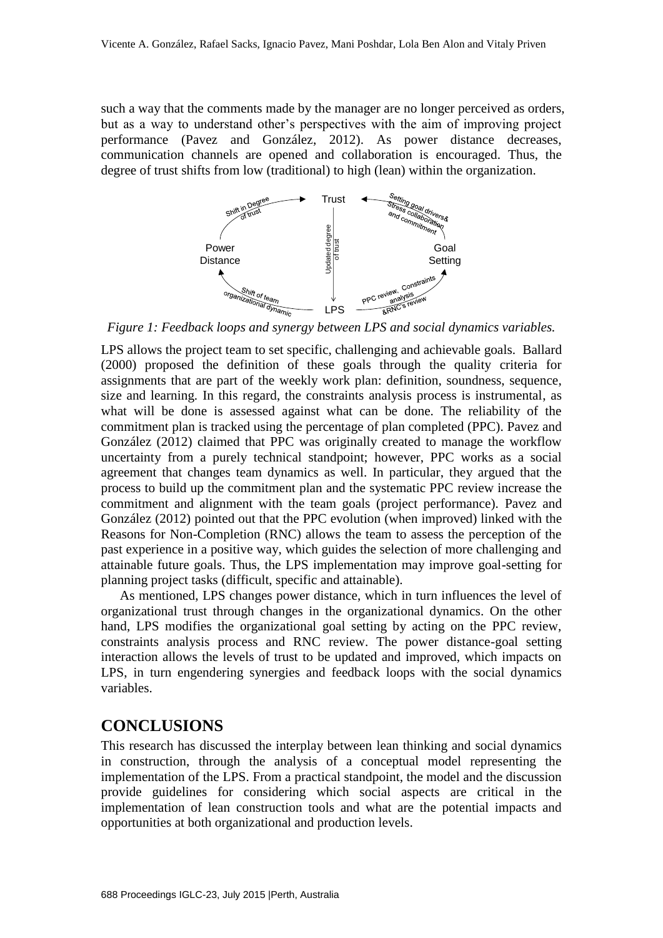such a way that the comments made by the manager are no longer perceived as orders, but as a way to understand other's perspectives with the aim of improving project performance (Pavez and González, 2012). As power distance decreases, communication channels are opened and collaboration is encouraged. Thus, the degree of trust shifts from low (traditional) to high (lean) within the organization.



*Figure 1: Feedback loops and synergy between LPS and social dynamics variables.*

LPS allows the project team to set specific, challenging and achievable goals. Ballard (2000) proposed the definition of these goals through the quality criteria for assignments that are part of the weekly work plan: definition, soundness, sequence, size and learning. In this regard, the constraints analysis process is instrumental, as what will be done is assessed against what can be done. The reliability of the commitment plan is tracked using the percentage of plan completed (PPC). Pavez and González (2012) claimed that PPC was originally created to manage the workflow uncertainty from a purely technical standpoint; however, PPC works as a social agreement that changes team dynamics as well. In particular, they argued that the process to build up the commitment plan and the systematic PPC review increase the commitment and alignment with the team goals (project performance). Pavez and González (2012) pointed out that the PPC evolution (when improved) linked with the Reasons for Non-Completion (RNC) allows the team to assess the perception of the past experience in a positive way, which guides the selection of more challenging and attainable future goals. Thus, the LPS implementation may improve goal-setting for planning project tasks (difficult, specific and attainable).

As mentioned, LPS changes power distance, which in turn influences the level of organizational trust through changes in the organizational dynamics. On the other hand, LPS modifies the organizational goal setting by acting on the PPC review, constraints analysis process and RNC review. The power distance-goal setting interaction allows the levels of trust to be updated and improved, which impacts on LPS, in turn engendering synergies and feedback loops with the social dynamics variables.

### **CONCLUSIONS**

This research has discussed the interplay between lean thinking and social dynamics in construction, through the analysis of a conceptual model representing the implementation of the LPS. From a practical standpoint, the model and the discussion provide guidelines for considering which social aspects are critical in the implementation of lean construction tools and what are the potential impacts and opportunities at both organizational and production levels.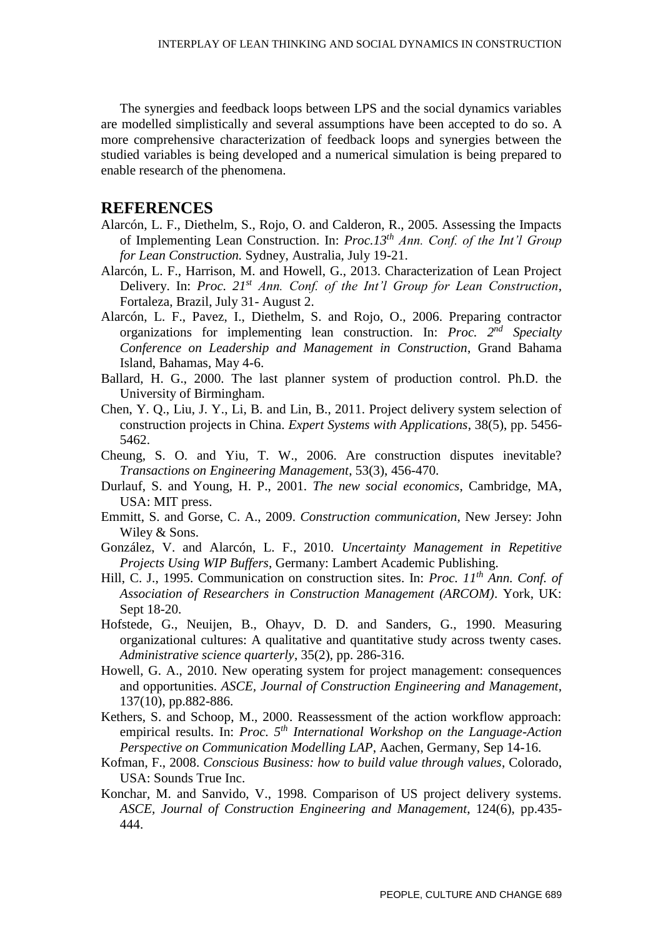The synergies and feedback loops between LPS and the social dynamics variables are modelled simplistically and several assumptions have been accepted to do so. A more comprehensive characterization of feedback loops and synergies between the studied variables is being developed and a numerical simulation is being prepared to enable research of the phenomena.

#### **REFERENCES**

- Alarcón, L. F., Diethelm, S., Rojo, O. and Calderon, R., 2005. Assessing the Impacts of Implementing Lean Construction. In: *Proc.13th Ann. Conf. of the Int'l Group for Lean Construction.* Sydney, Australia, July 19-21.
- Alarcón, L. F., Harrison, M. and Howell, G., 2013. Characterization of Lean Project Delivery. In: *Proc. 21st Ann. Conf. of the Int'l Group for Lean Construction*, Fortaleza, Brazil, July 31- August 2.
- Alarcón, L. F., Pavez, I., Diethelm, S. and Rojo, O., 2006. Preparing contractor organizations for implementing lean construction. In: *Proc. 2nd Specialty Conference on Leadership and Management in Construction*, Grand Bahama Island, Bahamas, May 4-6.
- Ballard, H. G., 2000. The last planner system of production control. Ph.D. the University of Birmingham.
- Chen, Y. Q., Liu, J. Y., Li, B. and Lin, B., 2011. Project delivery system selection of construction projects in China. *Expert Systems with Applications*, 38(5), pp. 5456- 5462.
- Cheung, S. O. and Yiu, T. W., 2006. Are construction disputes inevitable? *Transactions on Engineering Management*, 53(3), 456-470.
- Durlauf, S. and Young, H. P., 2001. *The new social economics*, Cambridge, MA, USA: MIT press.
- Emmitt, S. and Gorse, C. A., 2009. *Construction communication*, New Jersey: John Wiley & Sons.
- González, V. and Alarcón, L. F., 2010. *Uncertainty Management in Repetitive Projects Using WIP Buffers*, Germany: Lambert Academic Publishing.
- Hill, C. J., 1995. Communication on construction sites. In: *Proc. 11th Ann. Conf. of Association of Researchers in Construction Management (ARCOM)*. York, UK: Sept 18-20.
- Hofstede, G., Neuijen, B., Ohayv, D. D. and Sanders, G., 1990. Measuring organizational cultures: A qualitative and quantitative study across twenty cases. *Administrative science quarterly*, 35(2), pp. 286-316.
- Howell, G. A., 2010. New operating system for project management: consequences and opportunities. *ASCE, Journal of Construction Engineering and Management*, 137(10), pp.882-886.
- Kethers, S. and Schoop, M., 2000. Reassessment of the action workflow approach: empirical results. In: *Proc. 5th International Workshop on the Language-Action Perspective on Communication Modelling LAP*, Aachen, Germany, Sep 14-16.
- Kofman, F., 2008. *Conscious Business: how to build value through values*, Colorado, USA: Sounds True Inc.
- Konchar, M. and Sanvido, V., 1998. Comparison of US project delivery systems. *ASCE, Journal of Construction Engineering and Management*, 124(6), pp.435- 444.